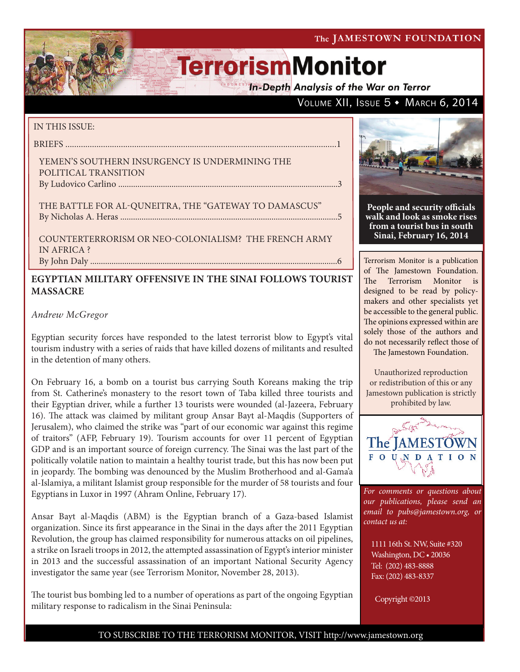**In-Depth Analysis of the War on Terror** 

# VOLUME XII, ISSUE  $5 \cdot$  March 6, 2014

### IN THIS ISSUE:

briefs ..........................................................................................................................1

### Yemen's Southern Insurgency is Undermining the Political Transition By Ludovico Carlino .......................................................................................................3

THE BATTLE FOR AL-QUNEITRA, THE "GATEWAY TO DAMASCUS" by Nicholas A. Heras ......................................................................................................5

Counterterrorism or Neo-Colonialism? The French Army in Africa ?

# By John Daly ....................................................................................................................6

# **EGYPTIAN MILITARY OFFENSIVE IN THE SINAI FOLLOWS TOURIST MASSACRE**

# *Andrew McGregor*

Egyptian security forces have responded to the latest terrorist blow to Egypt's vital tourism industry with a series of raids that have killed dozens of militants and resulted in the detention of many others.

On February 16, a bomb on a tourist bus carrying South Koreans making the trip from St. Catherine's monastery to the resort town of Taba killed three tourists and their Egyptian driver, while a further 13 tourists were wounded (al-Jazeera, February 16). The attack was claimed by militant group Ansar Bayt al-Maqdis (Supporters of Jerusalem), who claimed the strike was "part of our economic war against this regime of traitors" (AFP, February 19). Tourism accounts for over 11 percent of Egyptian GDP and is an important source of foreign currency. The Sinai was the last part of the politically volatile nation to maintain a healthy tourist trade, but this has now been put in jeopardy. The bombing was denounced by the Muslim Brotherhood and al-Gama'a al-Islamiya, a militant Islamist group responsible for the murder of 58 tourists and four Egyptians in Luxor in 1997 (Ahram Online, February 17).

Ansar Bayt al-Maqdis (ABM) is the Egyptian branch of a Gaza-based Islamist organization. Since its first appearance in the Sinai in the days after the 2011 Egyptian Revolution, the group has claimed responsibility for numerous attacks on oil pipelines, a strike on Israeli troops in 2012, the attempted assassination of Egypt's interior minister in 2013 and the successful assassination of an important National Security Agency investigator the same year (see Terrorism Monitor, November 28, 2013).

The tourist bus bombing led to a number of operations as part of the ongoing Egyptian military response to radicalism in the Sinai Peninsula:



**People and security officials walk and look as smoke rises from a tourist bus in south Sinai, February 16, 2014**

Terrorism Monitor is a publication of The Jamestown Foundation. The Terrorism Monitor is designed to be read by policymakers and other specialists yet be accessible to the general public. The opinions expressed within are solely those of the authors and do not necessarily reflect those of The Jamestown Foundation.

Unauthorized reproduction or redistribution of this or any Jamestown publication is strictly prohibited by law.



*For comments or questions about our publications, please send an email to pubs@jamestown.org, or contact us at:* 

1111 16th St. NW, Suite #320 Washington, DC • 20036 Tel: (202) 483-8888 Fax: (202) 483-8337

Copyright ©2013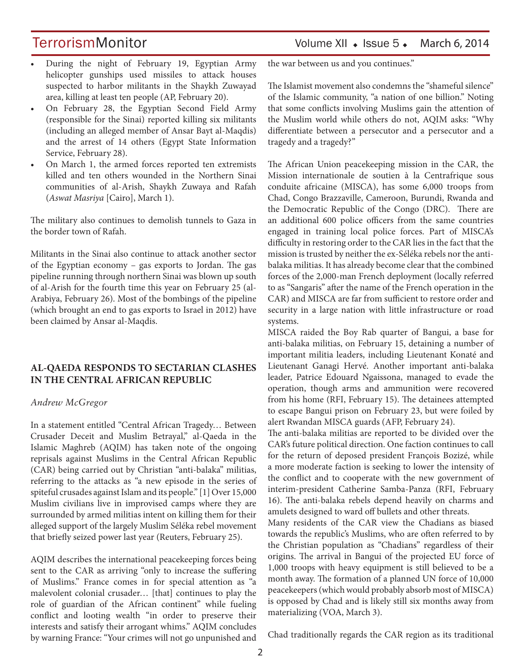# TerrorismMonitor Volume XII • Issue 5 • March 6, 2014

- During the night of February 19, Egyptian Army helicopter gunships used missiles to attack houses suspected to harbor militants in the Shaykh Zuwayad area, killing at least ten people (AP, February 20).
- On February 28, the Egyptian Second Field Army (responsible for the Sinai) reported killing six militants (including an alleged member of Ansar Bayt al-Maqdis) and the arrest of 14 others (Egypt State Information Service, February 28).
- On March 1, the armed forces reported ten extremists killed and ten others wounded in the Northern Sinai communities of al-Arish, Shaykh Zuwaya and Rafah (*Aswat Masriya* [Cairo], March 1).

The military also continues to demolish tunnels to Gaza in the border town of Rafah.

Militants in the Sinai also continue to attack another sector of the Egyptian economy – gas exports to Jordan. The gas pipeline running through northern Sinai was blown up south of al-Arish for the fourth time this year on February 25 (al-Arabiya, February 26). Most of the bombings of the pipeline (which brought an end to gas exports to Israel in 2012) have been claimed by Ansar al-Maqdis.

# **AL-QAEDA RESPONDS TO SECTARIAN CLASHES IN THE CENTRAL AFRICAN REPUBLIC**

### *Andrew McGregor*

In a statement entitled "Central African Tragedy… Between Crusader Deceit and Muslim Betrayal," al-Qaeda in the Islamic Maghreb (AQIM) has taken note of the ongoing reprisals against Muslims in the Central African Republic (CAR) being carried out by Christian "anti-balaka" militias, referring to the attacks as "a new episode in the series of spiteful crusades against Islam and its people." [1] Over 15,000 Muslim civilians live in improvised camps where they are surrounded by armed militias intent on killing them for their alleged support of the largely Muslim Séléka rebel movement that briefly seized power last year (Reuters, February 25).

AQIM describes the international peacekeeping forces being sent to the CAR as arriving "only to increase the suffering of Muslims." France comes in for special attention as "a malevolent colonial crusader… [that] continues to play the role of guardian of the African continent" while fueling conflict and looting wealth "in order to preserve their interests and satisfy their arrogant whims." AQIM concludes by warning France: "Your crimes will not go unpunished and the war between us and you continues."

The Islamist movement also condemns the "shameful silence" of the Islamic community, "a nation of one billion." Noting that some conflicts involving Muslims gain the attention of the Muslim world while others do not, AQIM asks: "Why differentiate between a persecutor and a persecutor and a tragedy and a tragedy?"

The African Union peacekeeping mission in the CAR, the Mission internationale de soutien à la Centrafrique sous conduite africaine (MISCA), has some 6,000 troops from Chad, Congo Brazzaville, Cameroon, Burundi, Rwanda and the Democratic Republic of the Congo (DRC). There are an additional 600 police officers from the same countries engaged in training local police forces. Part of MISCA's difficulty in restoring order to the CAR lies in the fact that the mission is trusted by neither the ex-Séléka rebels nor the antibalaka militias. It has already become clear that the combined forces of the 2,000-man French deployment (locally referred to as "Sangaris" after the name of the French operation in the CAR) and MISCA are far from sufficient to restore order and security in a large nation with little infrastructure or road systems.

MISCA raided the Boy Rab quarter of Bangui, a base for anti-balaka militias, on February 15, detaining a number of important militia leaders, including Lieutenant Konaté and Lieutenant Ganagi Hervé. Another important anti-balaka leader, Patrice Edouard Ngaissona, managed to evade the operation, though arms and ammunition were recovered from his home (RFI, February 15). The detainees attempted to escape Bangui prison on February 23, but were foiled by alert Rwandan MISCA guards (AFP, February 24).

The anti-balaka militias are reported to be divided over the CAR's future political direction. One faction continues to call for the return of deposed president François Bozizé, while a more moderate faction is seeking to lower the intensity of the conflict and to cooperate with the new government of interim-president Catherine Samba-Panza (RFI, February 16). The anti-balaka rebels depend heavily on charms and amulets designed to ward off bullets and other threats.

Many residents of the CAR view the Chadians as biased towards the republic's Muslims, who are often referred to by the Christian population as "Chadians" regardless of their origins. The arrival in Bangui of the projected EU force of 1,000 troops with heavy equipment is still believed to be a month away. The formation of a planned UN force of 10,000 peacekeepers (which would probably absorb most of MISCA) is opposed by Chad and is likely still six months away from materializing (VOA, March 3).

Chad traditionally regards the CAR region as its traditional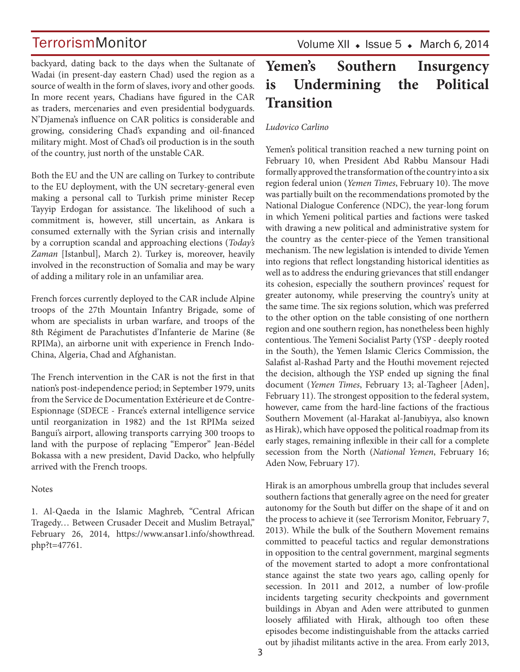backyard, dating back to the days when the Sultanate of Wadai (in present-day eastern Chad) used the region as a source of wealth in the form of slaves, ivory and other goods. In more recent years, Chadians have figured in the CAR as traders, mercenaries and even presidential bodyguards. N'Djamena's influence on CAR politics is considerable and growing, considering Chad's expanding and oil-financed military might. Most of Chad's oil production is in the south of the country, just north of the unstable CAR.

Both the EU and the UN are calling on Turkey to contribute to the EU deployment, with the UN secretary-general even making a personal call to Turkish prime minister Recep Tayyip Erdogan for assistance. The likelihood of such a commitment is, however, still uncertain, as Ankara is consumed externally with the Syrian crisis and internally by a corruption scandal and approaching elections (*Today's Zaman* [Istanbul], March 2). Turkey is, moreover, heavily involved in the reconstruction of Somalia and may be wary of adding a military role in an unfamiliar area.

French forces currently deployed to the CAR include Alpine troops of the 27th Mountain Infantry Brigade, some of whom are specialists in urban warfare, and troops of the 8th Régiment de Parachutistes d'Infanterie de Marine (8e RPIMa), an airborne unit with experience in French Indo-China, Algeria, Chad and Afghanistan.

The French intervention in the CAR is not the first in that nation's post-independence period; in September 1979, units from the Service de Documentation Extérieure et de Contre-Espionnage (SDECE - France's external intelligence service until reorganization in 1982) and the 1st RPIMa seized Bangui's airport, allowing transports carrying 300 troops to land with the purpose of replacing "Emperor" Jean-Bédel Bokassa with a new president, David Dacko, who helpfully arrived with the French troops.

### **Notes**

1. Al-Qaeda in the Islamic Maghreb, "Central African Tragedy… Between Crusader Deceit and Muslim Betrayal," February 26, 2014, https://www.ansar1.info/showthread. php?t=47761.

Volume XII  $\bullet$  Issue 5  $\bullet$  March 6, 2014

# **Yemen's Southern Insurgency is Undermining the Political Transition**

## *Ludovico Carlino*

Yemen's political transition reached a new turning point on February 10, when President Abd Rabbu Mansour Hadi formally approved the transformation of the country into a six region federal union (*Yemen Times*, February 10). The move was partially built on the recommendations promoted by the National Dialogue Conference (NDC), the year-long forum in which Yemeni political parties and factions were tasked with drawing a new political and administrative system for the country as the center-piece of the Yemen transitional mechanism. The new legislation is intended to divide Yemen into regions that reflect longstanding historical identities as well as to address the enduring grievances that still endanger its cohesion, especially the southern provinces' request for greater autonomy, while preserving the country's unity at the same time. The six regions solution, which was preferred to the other option on the table consisting of one northern region and one southern region, has nonetheless been highly contentious. The Yemeni Socialist Party (YSP - deeply rooted in the South), the Yemen Islamic Clerics Commission, the Salafist al-Rashad Party and the Houthi movement rejected the decision, although the YSP ended up signing the final document (*Yemen Times*, February 13; al-Tagheer [Aden], February 11). The strongest opposition to the federal system, however, came from the hard-line factions of the fractious Southern Movement (al-Harakat al-Janubiyya, also known as Hirak), which have opposed the political roadmap from its early stages, remaining inflexible in their call for a complete secession from the North (*National Yemen*, February 16; Aden Now, February 17).

Hirak is an amorphous umbrella group that includes several southern factions that generally agree on the need for greater autonomy for the South but differ on the shape of it and on the process to achieve it (see Terrorism Monitor, February 7, 2013). While the bulk of the Southern Movement remains committed to peaceful tactics and regular demonstrations in opposition to the central government, marginal segments of the movement started to adopt a more confrontational stance against the state two years ago, calling openly for secession. In 2011 and 2012, a number of low-profile incidents targeting security checkpoints and government buildings in Abyan and Aden were attributed to gunmen loosely affiliated with Hirak, although too often these episodes become indistinguishable from the attacks carried out by jihadist militants active in the area. From early 2013,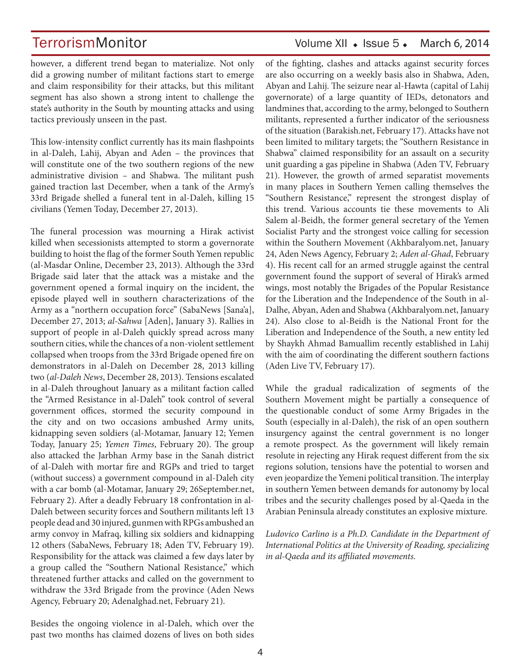TerrorismMonitor Volume XII • Issue 5 • March 6, 2014

however, a different trend began to materialize. Not only did a growing number of militant factions start to emerge and claim responsibility for their attacks, but this militant segment has also shown a strong intent to challenge the state's authority in the South by mounting attacks and using tactics previously unseen in the past.

This low-intensity conflict currently has its main flashpoints in al-Daleh, Lahij, Abyan and Aden – the provinces that will constitute one of the two southern regions of the new administrative division – and Shabwa. The militant push gained traction last December, when a tank of the Army's 33rd Brigade shelled a funeral tent in al-Daleh, killing 15 civilians (Yemen Today, December 27, 2013).

The funeral procession was mourning a Hirak activist killed when secessionists attempted to storm a governorate building to hoist the flag of the former South Yemen republic (al-Masdar Online, December 23, 2013). Although the 33rd Brigade said later that the attack was a mistake and the government opened a formal inquiry on the incident, the episode played well in southern characterizations of the Army as a "northern occupation force" (SabaNews [Sana'a], December 27, 2013; *al-Sahwa* [Aden], January 3). Rallies in support of people in al-Daleh quickly spread across many southern cities, while the chances of a non-violent settlement collapsed when troops from the 33rd Brigade opened fire on demonstrators in al-Daleh on December 28, 2013 killing two (*al-Daleh News*, December 28, 2013). Tensions escalated in al-Daleh throughout January as a militant faction called the "Armed Resistance in al-Daleh" took control of several government offices, stormed the security compound in the city and on two occasions ambushed Army units, kidnapping seven soldiers (al-Motamar, January 12; Yemen Today, January 25; *Yemen Times*, February 20). The group also attacked the Jarbhan Army base in the Sanah district of al-Daleh with mortar fire and RGPs and tried to target (without success) a government compound in al-Daleh city with a car bomb (al-Motamar, January 29; 26September.net, February 2). After a deadly February 18 confrontation in al-Daleh between security forces and Southern militants left 13 people dead and 30 injured, gunmen with RPGs ambushed an army convoy in Mafraq, killing six soldiers and kidnapping 12 others (SabaNews, February 18; Aden TV, February 19). Responsibility for the attack was claimed a few days later by a group called the "Southern National Resistance," which threatened further attacks and called on the government to withdraw the 33rd Brigade from the province (Aden News Agency, February 20; Adenalghad.net, February 21).

of the fighting, clashes and attacks against security forces are also occurring on a weekly basis also in Shabwa, Aden, Abyan and Lahij. The seizure near al-Hawta (capital of Lahij governorate) of a large quantity of IEDs, detonators and landmines that, according to the army, belonged to Southern militants, represented a further indicator of the seriousness of the situation (Barakish.net, February 17). Attacks have not been limited to military targets; the "Southern Resistance in Shabwa" claimed responsibility for an assault on a security unit guarding a gas pipeline in Shabwa (Aden TV, February 21). However, the growth of armed separatist movements in many places in Southern Yemen calling themselves the "Southern Resistance," represent the strongest display of this trend. Various accounts tie these movements to Ali Salem al-Beidh, the former general secretary of the Yemen Socialist Party and the strongest voice calling for secession within the Southern Movement (Akhbaralyom.net, January 24, Aden News Agency, February 2; *Aden al-Ghad*, February 4). His recent call for an armed struggle against the central government found the support of several of Hirak's armed wings, most notably the Brigades of the Popular Resistance for the Liberation and the Independence of the South in al-Dalhe, Abyan, Aden and Shabwa (Akhbaralyom.net, January 24). Also close to al-Beidh is the National Front for the Liberation and Independence of the South, a new entity led by Shaykh Ahmad Bamuallim recently established in Lahij with the aim of coordinating the different southern factions (Aden Live TV, February 17).

While the gradual radicalization of segments of the Southern Movement might be partially a consequence of the questionable conduct of some Army Brigades in the South (especially in al-Daleh), the risk of an open southern insurgency against the central government is no longer a remote prospect. As the government will likely remain resolute in rejecting any Hirak request different from the six regions solution, tensions have the potential to worsen and even jeopardize the Yemeni political transition. The interplay in southern Yemen between demands for autonomy by local tribes and the security challenges posed by al-Qaeda in the Arabian Peninsula already constitutes an explosive mixture.

*Ludovico Carlino is a Ph.D. Candidate in the Department of International Politics at the University of Reading, specializing in al-Qaeda and its affiliated movements.*

Besides the ongoing violence in al-Daleh, which over the past two months has claimed dozens of lives on both sides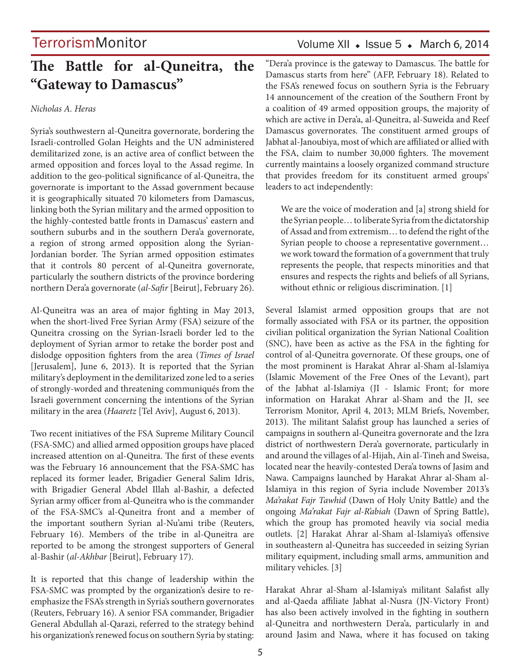# **The Battle for al-Quneitra, the "Gateway to Damascus"**

### *Nicholas A. Heras*

Syria's southwestern al-Quneitra governorate, bordering the Israeli-controlled Golan Heights and the UN administered demilitarized zone, is an active area of conflict between the armed opposition and forces loyal to the Assad regime. In addition to the geo-political significance of al-Quneitra, the governorate is important to the Assad government because it is geographically situated 70 kilometers from Damascus, linking both the Syrian military and the armed opposition to the highly-contested battle fronts in Damascus' eastern and southern suburbs and in the southern Dera'a governorate, a region of strong armed opposition along the Syrian-Jordanian border. The Syrian armed opposition estimates that it controls 80 percent of al-Quneitra governorate, particularly the southern districts of the province bordering northern Dera'a governorate (*al-Safir* [Beirut], February 26).

Al-Quneitra was an area of major fighting in May 2013, when the short-lived Free Syrian Army (FSA) seizure of the Quneitra crossing on the Syrian-Israeli border led to the deployment of Syrian armor to retake the border post and dislodge opposition fighters from the area (*Times of Israel*  [Jerusalem], June 6, 2013). It is reported that the Syrian military's deployment in the demilitarized zone led to a series of strongly-worded and threatening communiqués from the Israeli government concerning the intentions of the Syrian military in the area (*Haaretz* [Tel Aviv], August 6, 2013).

Two recent initiatives of the FSA Supreme Military Council (FSA-SMC) and allied armed opposition groups have placed increased attention on al-Quneitra. The first of these events was the February 16 announcement that the FSA-SMC has replaced its former leader, Brigadier General Salim Idris, with Brigadier General Abdel Illah al-Bashir, a defected Syrian army officer from al-Quneitra who is the commander of the FSA-SMC's al-Quneitra front and a member of the important southern Syrian al-Nu'ami tribe (Reuters, February 16). Members of the tribe in al-Quneitra are reported to be among the strongest supporters of General al-Bashir (*al-Akhbar* [Beirut], February 17).

It is reported that this change of leadership within the FSA-SMC was prompted by the organization's desire to reemphasize the FSA's strength in Syria's southern governorates (Reuters, February 16). A senior FSA commander, Brigadier General Abdullah al-Qarazi, referred to the strategy behind his organization's renewed focus on southern Syria by stating:

# Volume XII  $\bullet$  Issue 5  $\bullet$  March 6, 2014

"Dera'a province is the gateway to Damascus. The battle for Damascus starts from here" (AFP, February 18). Related to the FSA's renewed focus on southern Syria is the February 14 announcement of the creation of the Southern Front by a coalition of 49 armed opposition groups, the majority of which are active in Dera'a, al-Quneitra, al-Suweida and Reef Damascus governorates. The constituent armed groups of Jabhat al-Janoubiya, most of which are affiliated or allied with the FSA, claim to number 30,000 fighters. The movement currently maintains a loosely organized command structure that provides freedom for its constituent armed groups' leaders to act independently:

We are the voice of moderation and [a] strong shield for the Syrian people… to liberate Syria from the dictatorship of Assad and from extremism… to defend the right of the Syrian people to choose a representative government… we work toward the formation of a government that truly represents the people, that respects minorities and that ensures and respects the rights and beliefs of all Syrians, without ethnic or religious discrimination. [1]

Several Islamist armed opposition groups that are not formally associated with FSA or its partner, the opposition civilian political organization the Syrian National Coalition (SNC), have been as active as the FSA in the fighting for control of al-Quneitra governorate. Of these groups, one of the most prominent is Harakat Ahrar al-Sham al-Islamiya (Islamic Movement of the Free Ones of the Levant), part of the Jabhat al-Islamiya (JI - Islamic Front; for more information on Harakat Ahrar al-Sham and the JI, see Terrorism Monitor, April 4, 2013; MLM Briefs, November, 2013). The militant Salafist group has launched a series of campaigns in southern al-Quneitra governorate and the Izra district of northwestern Dera'a governorate, particularly in and around the villages of al-Hijah, Ain al-Tineh and Sweisa, located near the heavily-contested Dera'a towns of Jasim and Nawa. Campaigns launched by Harakat Ahrar al-Sham al-Islamiya in this region of Syria include November 2013's *Ma'rakat Fajr Tawhid* (Dawn of Holy Unity Battle) and the ongoing *Ma'rakat Fajr al-R'abiah* (Dawn of Spring Battle), which the group has promoted heavily via social media outlets. [2] Harakat Ahrar al-Sham al-Islamiya's offensive in southeastern al-Quneitra has succeeded in seizing Syrian military equipment, including small arms, ammunition and military vehicles. [3]

Harakat Ahrar al-Sham al-Islamiya's militant Salafist ally and al-Qaeda affiliate Jabhat al-Nusra (JN-Victory Front) has also been actively involved in the fighting in southern al-Quneitra and northwestern Dera'a, particularly in and around Jasim and Nawa, where it has focused on taking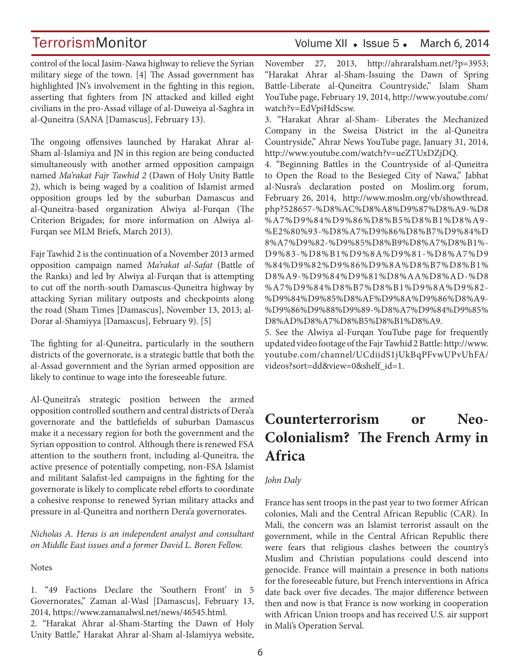control of the local Jasim-Nawa highway to relieve the Syrian military siege of the town. [4] The Assad government has highlighted JN's involvement in the fighting in this region, asserting that fighters from JN attacked and killed eight civilians in the pro-Assad village of al-Duweiya al-Saghra in al-Quneitra (SANA [Damascus], February 13).

The ongoing offensives launched by Harakat Ahrar al-Sham al-Islamiya and JN in this region are being conducted simultaneously with another armed opposition campaign named *Ma'rakat Fajr Tawhid 2* (Dawn of Holy Unity Battle 2), which is being waged by a coalition of Islamist armed opposition groups led by the suburban Damascus and al-Quneitra-based organization Alwiya al-Furqan (The Criterion Brigades; for more information on Alwiya al-Furqan see MLM Briefs, March 2013).

Fajr Tawhid 2 is the continuation of a November 2013 armed opposition campaign named *Ma'rakat al-Safat* (Battle of the Ranks) and led by Alwiya al-Furqan that is attempting to cut off the north-south Damascus-Quneitra highway by attacking Syrian military outposts and checkpoints along the road (Sham Times [Damascus], November 13, 2013; al-Dorar al-Shamiyya [Damascus], February 9). [5]

The fighting for al-Quneitra, particularly in the southern districts of the governorate, is a strategic battle that both the al-Assad government and the Syrian armed opposition are likely to continue to wage into the foreseeable future.

Al-Quneitra's strategic position between the armed opposition controlled southern and central districts of Dera'a governorate and the battlefields of suburban Damascus make it a necessary region for both the government and the Syrian opposition to control. Although there is renewed FSA attention to the southern front, including al-Quneitra, the active presence of potentially competing, non-FSA Islamist and militant Salafist-led campaigns in the fighting for the governorate is likely to complicate rebel efforts to coordinate a cohesive response to renewed Syrian military attacks and pressure in al-Quneitra and northern Dera'a governorates.

*Nicholas A. Heras is an independent analyst and consultant on Middle East issues and a former David L. Boren Fellow.*

**Notes** 

1. "49 Factions Declare the 'Southern Front' in 5 Governorates," Zaman al-Wasl [Damascus], February 13, 2014, https://www.zamanalwsl.net/news/46545.html.

2. "Harakat Ahrar al-Sham-Starting the Dawn of Holy Unity Battle," Harakat Ahrar al-Sham al-Islamiyya website,

# TerrorismMonitor Volume XII • Issue 5 • March 6, 2014

November 27, 2013, http://ahraralsham.net/?p=3953; "Harakat Ahrar al-Sham-Issuing the Dawn of Spring Battle-Liberate al-Quneitra Countryside," Islam Sham YouTube page, February 19, 2014, http://www.youtube.com/ watch?v=EdVpiHdScsw.

3. "Harakat Ahrar al-Sham- Liberates the Mechanized Company in the Sweisa District in the al-Quneitra Countryside," Ahrar News YouTube page, January 31, 2014, http://www.youtube.com/watch?v=ueZTUxDZjDQ.

4. "Beginning Battles in the Countryside of al-Quneitra to Open the Road to the Besieged City of Nawa," Jabhat al-Nusra's declaration posted on Moslim.org forum, February 26, 2014, http://www.moslm.org/vb/showthread. php?528657-%D8%AC%D8%A8%D9%87%D8%A9-%D8 %A7%D9%84%D9%86%D8%B5%D8%B1%D8%A9- %E2%80%93-%D8%A7%D9%86%D8%B7%D9%84%D 8%A7%D9%82-%D9%85%D8%B9%D8%A7%D8%B1%- D9%83-%D8%B1%D9%8A%D9%81-%D8%A7%D9 %84%D9%82%D9%86%D9%8A%D8%B7%D8%B1% D8%A9-%D9%84%D9%81%D8%AA%D8%AD-%D8 %A7%D9%84%D8%B7%D8%B1%D9%8A%D9%82- %D9%84%D9%85%D8%AF%D9%8A%D9%86%D8%A9- %D9%86%D9%88%D9%89-%D8%A7%D9%84%D9%85% D8%AD%D8%A7%D8%B5%D8%B1%D8%A9.

5. See the Alwiya al-Furqan YouTube page for frequently updated video footage of the Fajr Tawhid 2 Battle: http://www. youtube.com/channel/UCdiidS1jUkBqPFvwUPvUhFA/ videos?sort=dd&view=0&shelf\_id=1.

# **Counterterrorism or Neo-Colonialism? The French Army in Africa**

# *John Daly*

France has sent troops in the past year to two former African colonies, Mali and the Central African Republic (CAR). In Mali, the concern was an Islamist terrorist assault on the government, while in the Central African Republic there were fears that religious clashes between the country's Muslim and Christian populations could descend into genocide. France will maintain a presence in both nations for the foreseeable future, but French interventions in Africa date back over five decades. The major difference between then and now is that France is now working in cooperation with African Union troops and has received U.S. air support in Mali's Operation Serval.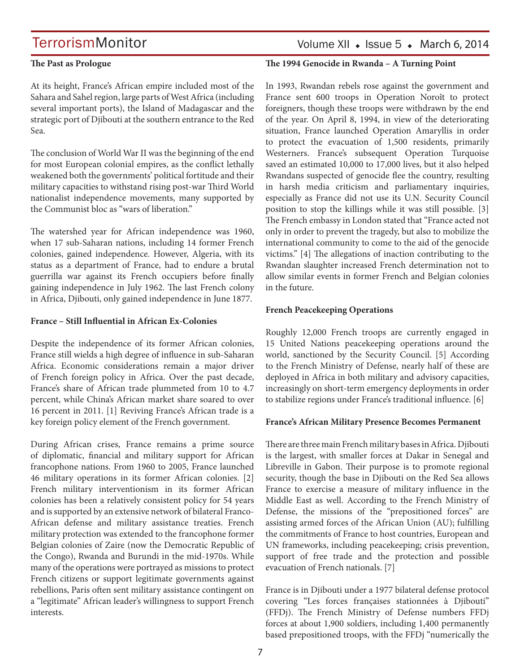# Volume XII  $\bullet$  Issue 5  $\bullet$  March 6, 2014

### **The Past as Prologue**

**The 1994 Genocide in Rwanda – A Turning Point**

At its height, France's African empire included most of the Sahara and Sahel region, large parts of West Africa (including several important ports), the Island of Madagascar and the strategic port of Djibouti at the southern entrance to the Red Sea.

The conclusion of World War II was the beginning of the end for most European colonial empires, as the conflict lethally weakened both the governments' political fortitude and their military capacities to withstand rising post-war Third World nationalist independence movements, many supported by the Communist bloc as "wars of liberation."

The watershed year for African independence was 1960, when 17 sub-Saharan nations, including 14 former French colonies, gained independence. However, Algeria, with its status as a department of France, had to endure a brutal guerrilla war against its French occupiers before finally gaining independence in July 1962. The last French colony in Africa, Djibouti, only gained independence in June 1877.

### **France – Still Influential in African Ex-Colonies**

Despite the independence of its former African colonies, France still wields a high degree of influence in sub-Saharan Africa. Economic considerations remain a major driver of French foreign policy in Africa. Over the past decade, France's share of African trade plummeted from 10 to 4.7 percent, while China's African market share soared to over 16 percent in 2011. [1] Reviving France's African trade is a key foreign policy element of the French government.

During African crises, France remains a prime source of diplomatic, financial and military support for African francophone nations. From 1960 to 2005, France launched 46 military operations in its former African colonies. [2] French military interventionism in its former African colonies has been a relatively consistent policy for 54 years and is supported by an extensive network of bilateral Franco-African defense and military assistance treaties. French military protection was extended to the francophone former Belgian colonies of Zaire (now the Democratic Republic of the Congo), Rwanda and Burundi in the mid-1970s. While many of the operations were portrayed as missions to protect French citizens or support legitimate governments against rebellions, Paris often sent military assistance contingent on a "legitimate" African leader's willingness to support French interests.

In 1993, Rwandan rebels rose against the government and France sent 600 troops in Operation Noroît to protect foreigners, though these troops were withdrawn by the end of the year. On April 8, 1994, in view of the deteriorating situation, France launched Operation Amaryllis in order to protect the evacuation of 1,500 residents, primarily Westerners. France's subsequent Operation Turquoise saved an estimated 10,000 to 17,000 lives, but it also helped Rwandans suspected of genocide flee the country, resulting in harsh media criticism and parliamentary inquiries, especially as France did not use its U.N. Security Council position to stop the killings while it was still possible. [3] The French embassy in London stated that "France acted not only in order to prevent the tragedy, but also to mobilize the international community to come to the aid of the genocide victims." [4] The allegations of inaction contributing to the Rwandan slaughter increased French determination not to allow similar events in former French and Belgian colonies in the future.

### **French Peacekeeping Operations**

Roughly 12,000 French troops are currently engaged in 15 United Nations peacekeeping operations around the world, sanctioned by the Security Council. [5] According to the French Ministry of Defense, nearly half of these are deployed in Africa in both military and advisory capacities, increasingly on short-term emergency deployments in order to stabilize regions under France's traditional influence. [6]

### **France's African Military Presence Becomes Permanent**

There are three main French military bases in Africa. Djibouti is the largest, with smaller forces at Dakar in Senegal and Libreville in Gabon. Their purpose is to promote regional security, though the base in Djibouti on the Red Sea allows France to exercise a measure of military influence in the Middle East as well. According to the French Ministry of Defense, the missions of the "prepositioned forces" are assisting armed forces of the African Union (AU); fulfilling the commitments of France to host countries, European and UN frameworks, including peacekeeping; crisis prevention, support of free trade and the protection and possible evacuation of French nationals. [7]

France is in Djibouti under a 1977 bilateral defense protocol covering "Les forces françaises stationnées à Djibouti" (FFDj). The French Ministry of Defense numbers FFDj forces at about 1,900 soldiers, including 1,400 permanently based prepositioned troops, with the FFDj "numerically the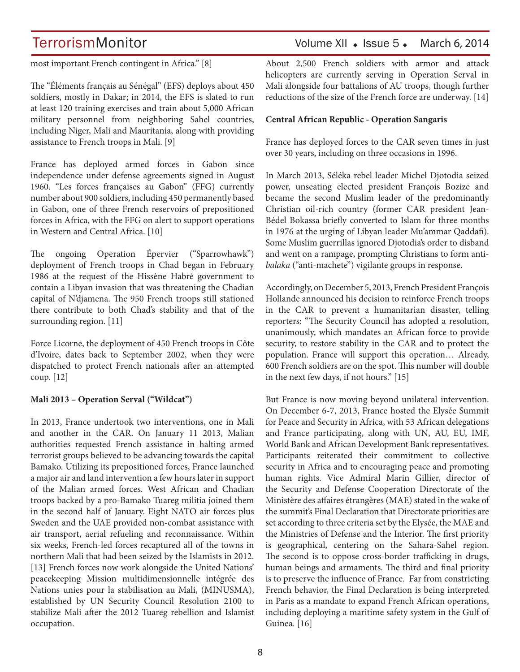# TerrorismMonitor Volume XII • Issue 5 • March 6, 2014

most important French contingent in Africa." [8]

The "Éléments français au Sénégal" (EFS) deploys about 450 soldiers, mostly in Dakar; in 2014, the EFS is slated to run at least 120 training exercises and train about 5,000 African military personnel from neighboring Sahel countries, including Niger, Mali and Mauritania, along with providing assistance to French troops in Mali. [9]

France has deployed armed forces in Gabon since independence under defense agreements signed in August 1960. "Les forces françaises au Gabon" (FFG) currently number about 900 soldiers, including 450 permanently based in Gabon, one of three French reservoirs of prepositioned forces in Africa, with the FFG on alert to support operations in Western and Central Africa. [10]

The ongoing Operation Épervier ("Sparrowhawk") deployment of French troops in Chad began in February 1986 at the request of the Hissène Habré government to contain a Libyan invasion that was threatening the Chadian capital of N'djamena. The 950 French troops still stationed there contribute to both Chad's stability and that of the surrounding region. [11]

Force Licorne, the deployment of 450 French troops in Côte d'Ivoire, dates back to September 2002, when they were dispatched to protect French nationals after an attempted coup. [12]

### **Mali 2013 – Operation Serval ("Wildcat")**

In 2013, France undertook two interventions, one in Mali and another in the CAR. On January 11 2013, Malian authorities requested French assistance in halting armed terrorist groups believed to be advancing towards the capital Bamako. Utilizing its prepositioned forces, France launched a major air and land intervention a few hours later in support of the Malian armed forces. West African and Chadian troops backed by a pro-Bamako Tuareg militia joined them in the second half of January. Eight NATO air forces plus Sweden and the UAE provided non-combat assistance with air transport, aerial refueling and reconnaissance. Within six weeks, French-led forces recaptured all of the towns in northern Mali that had been seized by the Islamists in 2012. [13] French forces now work alongside the United Nations' peacekeeping Mission multidimensionnelle intégrée des Nations unies pour la stabilisation au Mali, (MINUSMA), established by UN Security Council Resolution 2100 to stabilize Mali after the 2012 Tuareg rebellion and Islamist occupation.

About 2,500 French soldiers with armor and attack helicopters are currently serving in Operation Serval in Mali alongside four battalions of AU troops, though further reductions of the size of the French force are underway. [14]

### **Central African Republic - Operation Sangaris**

France has deployed forces to the CAR seven times in just over 30 years, including on three occasions in 1996.

In March 2013, Séléka rebel leader Michel Djotodia seized power, unseating elected president François Bozize and became the second Muslim leader of the predominantly Christian oil-rich country (former CAR president Jean-Bédel Bokassa briefly converted to Islam for three months in 1976 at the urging of Libyan leader Mu'ammar Qaddafi). Some Muslim guerrillas ignored Djotodia's order to disband and went on a rampage, prompting Christians to form anti*balaka* ("anti-machete") vigilante groups in response.

Accordingly, on December 5, 2013, French President François Hollande announced his decision to reinforce French troops in the CAR to prevent a humanitarian disaster, telling reporters: "The Security Council has adopted a resolution, unanimously, which mandates an African force to provide security, to restore stability in the CAR and to protect the population. France will support this operation… Already, 600 French soldiers are on the spot. This number will double in the next few days, if not hours." [15]

But France is now moving beyond unilateral intervention. On December 6-7, 2013, France hosted the Elysée Summit for Peace and Security in Africa, with 53 African delegations and France participating, along with UN, AU, EU, IMF, World Bank and African Development Bank representatives. Participants reiterated their commitment to collective security in Africa and to encouraging peace and promoting human rights. Vice Admiral Marin Gillier, director of the Security and Defense Cooperation Directorate of the Ministère des affaires étrangères (MAE) stated in the wake of the summit's Final Declaration that Directorate priorities are set according to three criteria set by the Elysée, the MAE and the Ministries of Defense and the Interior. The first priority is geographical, centering on the Sahara-Sahel region. The second is to oppose cross-border trafficking in drugs, human beings and armaments. The third and final priority is to preserve the influence of France. Far from constricting French behavior, the Final Declaration is being interpreted in Paris as a mandate to expand French African operations, including deploying a maritime safety system in the Gulf of Guinea. [16]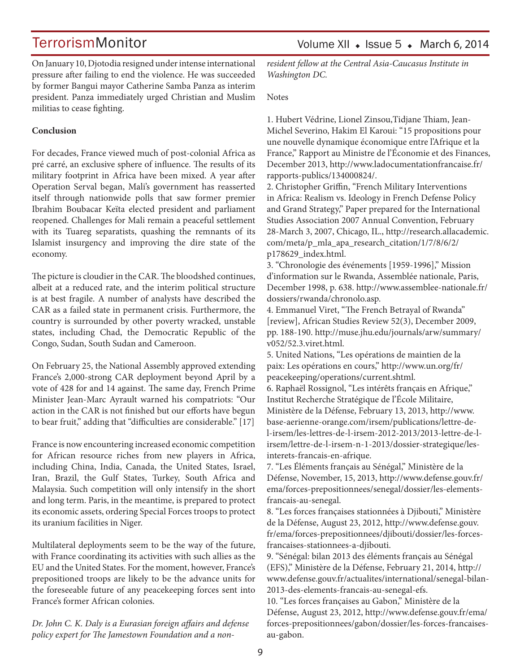On January 10, Djotodia resigned under intense international pressure after failing to end the violence. He was succeeded by former Bangui mayor Catherine Samba Panza as interim president. Panza immediately urged Christian and Muslim militias to cease fighting.

## **Conclusion**

For decades, France viewed much of post-colonial Africa as pré carré, an exclusive sphere of influence. The results of its military footprint in Africa have been mixed. A year after Operation Serval began, Mali's government has reasserted itself through nationwide polls that saw former premier Ibrahim Boubacar Keïta elected president and parliament reopened. Challenges for Mali remain a peaceful settlement with its Tuareg separatists, quashing the remnants of its Islamist insurgency and improving the dire state of the economy.

The picture is cloudier in the CAR. The bloodshed continues, albeit at a reduced rate, and the interim political structure is at best fragile. A number of analysts have described the CAR as a failed state in permanent crisis. Furthermore, the country is surrounded by other poverty wracked, unstable states, including Chad, the Democratic Republic of the Congo, Sudan, South Sudan and Cameroon.

On February 25, the National Assembly approved extending France's 2,000-strong CAR deployment beyond April by a vote of 428 for and 14 against. The same day, French Prime Minister Jean-Marc Ayrault warned his compatriots: "Our action in the CAR is not finished but our efforts have begun to bear fruit," adding that "difficulties are considerable." [17]

France is now encountering increased economic competition for African resource riches from new players in Africa, including China, India, Canada, the United States, Israel, Iran, Brazil, the Gulf States, Turkey, South Africa and Malaysia. Such competition will only intensify in the short and long term. Paris, in the meantime, is prepared to protect its economic assets, ordering Special Forces troops to protect its uranium facilities in Niger.

Multilateral deployments seem to be the way of the future, with France coordinating its activities with such allies as the EU and the United States. For the moment, however, France's prepositioned troops are likely to be the advance units for the foreseeable future of any peacekeeping forces sent into France's former African colonies.

*Dr. John C. K. Daly is a Eurasian foreign affairs and defense policy expert for The Jamestown Foundation and a non-* *resident fellow at the Central Asia-Caucasus Institute in Washington DC.*

Notes

1. Hubert Védrine, Lionel Zinsou,Tidjane Thiam, Jean-Michel Severino, Hakim El Karoui: "15 propositions pour une nouvelle dynamique économique entre l'Afrique et la France," Rapport au Ministre de l'Économie et des Finances, December 2013, http://www.ladocumentationfrancaise.fr/ rapports-publics/134000824/.

2. Christopher Griffin, "French Military Interventions in Africa: Realism vs. Ideology in French Defense Policy and Grand Strategy," Paper prepared for the International Studies Association 2007 Annual Convention, February 28-March 3, 2007, Chicago, IL., http://research.allacademic. com/meta/p\_mla\_apa\_research\_citation/1/7/8/6/2/ p178629\_index.html.

3. "Chronologie des événements [1959-1996]," Mission d'information sur le Rwanda, Assemblée nationale, Paris, December 1998, p. 638. http://www.assemblee-nationale.fr/ dossiers/rwanda/chronolo.asp.

4. Emmanuel Viret, "The French Betrayal of Rwanda" [review], African Studies Review 52(3), December 2009, pp. 188-190. http://muse.jhu.edu/journals/arw/summary/ v052/52.3.viret.html.

5. United Nations, "Les opérations de maintien de la paix: Les opérations en cours," http://www.un.org/fr/ peacekeeping/operations/current.shtml.

6. Raphaël Rossignol, "Les intérêts français en Afrique," Institut Recherche Stratégique de l'École Militaire, Ministère de la Défense, February 13, 2013, http://www. base-aerienne-orange.com/irsem/publications/lettre-del-irsem/les-lettres-de-l-irsem-2012-2013/2013-lettre-de-lirsem/lettre-de-l-irsem-n-1-2013/dossier-strategique/lesinterets-francais-en-afrique.

7. "Les Éléments français au Sénégal," Ministère de la Défense, November, 15, 2013, http://www.defense.gouv.fr/ ema/forces-prepositionnees/senegal/dossier/les-elementsfrancais-au-senegal.

8. "Les forces françaises stationnées à Djibouti," Ministère de la Défense, August 23, 2012, http://www.defense.gouv. fr/ema/forces-prepositionnees/djibouti/dossier/les-forcesfrancaises-stationnees-a-djibouti.

9. "Sénégal: bilan 2013 des éléments français au Sénégal (EFS)," Ministère de la Défense, February 21, 2014, http:// www.defense.gouv.fr/actualites/international/senegal-bilan-2013-des-elements-francais-au-senegal-efs.

10. "Les forces françaises au Gabon," Ministère de la Défense, August 23, 2012, http://www.defense.gouv.fr/ema/ forces-prepositionnees/gabon/dossier/les-forces-francaisesau-gabon.